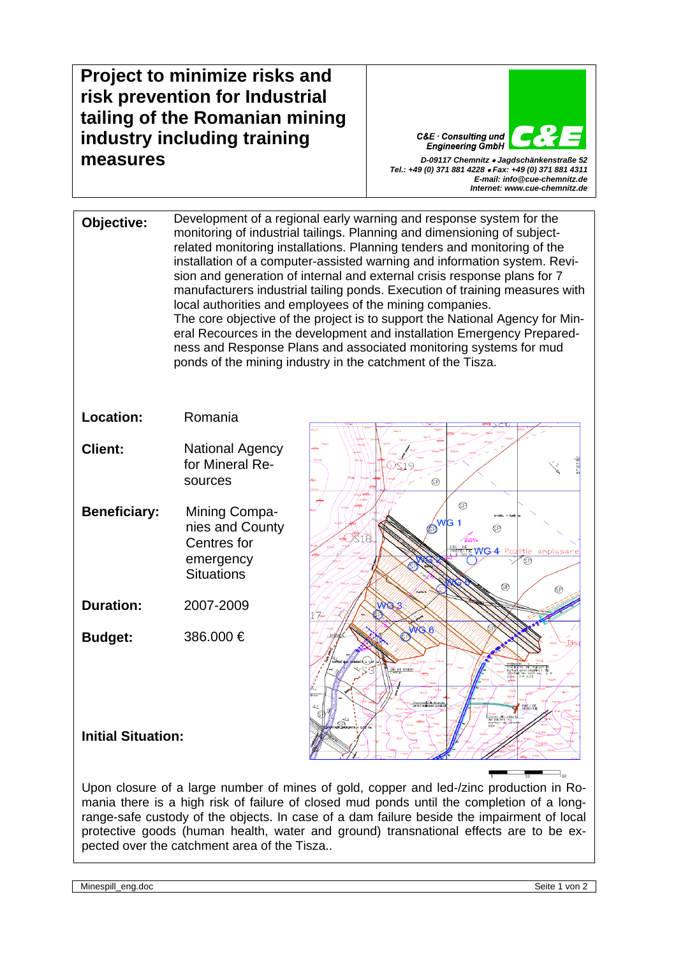## **Project to minimize risks and risk prevention for Industrial tailing of the Romanian mining industry including training measures** *D-09117 Chemnitz* • *Jagdschänkenstraße 52*

C&E · Consulting und **Engineering GmbH** *Tel.: +49 (0) 371 881 4228* • *Fax: +49 (0) 371 881 4311* 

*E-mail: info@cue-chemnitz.de Internet: www.cue-chemnitz.de*

**Objective:** Development of a regional early warning and response system for the monitoring of industrial tailings. Planning and dimensioning of subjectrelated monitoring installations. Planning tenders and monitoring of the installation of a computer-assisted warning and information system. Revision and generation of internal and external crisis response plans for 7 manufacturers industrial tailing ponds. Execution of training measures with local authorities and employees of the mining companies. The core objective of the project is to support the National Agency for Mineral Recources in the development and installation Emergency Preparedness and Response Plans and associated monitoring systems for mud ponds of the mining industry in the catchment of the Tisza.

**Location:** Romania

- **Client:** National Agency for Mineral Resources
- **Beneficiary:** Mining Companies and County Centres for emergency **Situations**

**Duration:** 2007-2009

**Budget:** 386.000 €



## **Initial Situation:**

Upon closure of a large number of mines of gold, copper and led-/zinc production in Romania there is a high risk of failure of closed mud ponds until the completion of a longrange-safe custody of the objects. In case of a dam failure beside the impairment of local protective goods (human health, water and ground) transnational effects are to be expected over the catchment area of the Tisza..